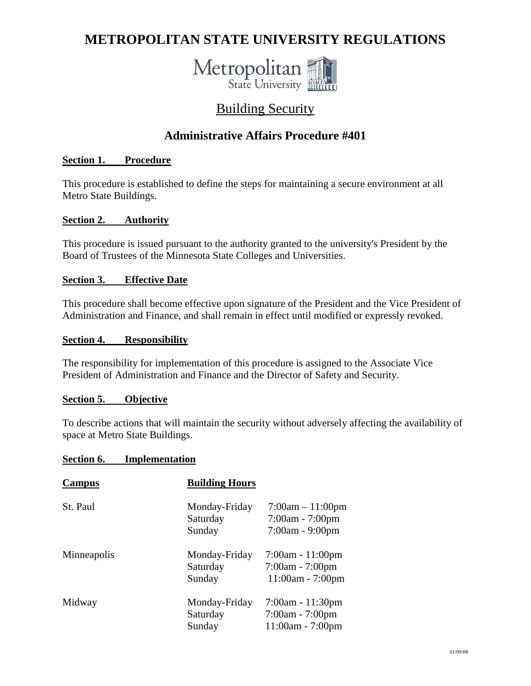# **METROPOLITAN STATE UNIVERSITY REGULATIONS**



## Building Security

### **Administrative Affairs Procedure #401**

#### **Section 1. Procedure**

This procedure is established to define the steps for maintaining a secure environment at all Metro State Buildings.

#### **Section 2. Authority**

This procedure is issued pursuant to the authority granted to the university's President by the Board of Trustees of the Minnesota State Colleges and Universities.

#### **Section 3. Effective Date**

This procedure shall become effective upon signature of the President and the Vice President of Administration and Finance, and shall remain in effect until modified or expressly revoked.

#### **Section 4. Responsibility**

The responsibility for implementation of this procedure is assigned to the Associate Vice President of Administration and Finance and the Director of Safety and Security.

#### **Section 5. Objective**

To describe actions that will maintain the security without adversely affecting the availability of space at Metro State Buildings.

#### **Section 6. Implementation**

| Campus      | <b>Building Hours</b>               |                                                               |
|-------------|-------------------------------------|---------------------------------------------------------------|
| St. Paul    | Monday-Friday<br>Saturday<br>Sunday | $7:00am - 11:00pm$<br>$7:00am - 7:00pm$<br>$7:00am - 9:00pm$  |
| Minneapolis | Monday-Friday<br>Saturday<br>Sunday | $7:00am - 11:00pm$<br>$7:00am - 7:00pm$<br>11:00am - 7:00pm   |
| Midway      | Monday-Friday<br>Saturday<br>Sunday | $7:00am - 11:30pm$<br>$7:00am - 7:00pm$<br>$11:00am - 7:00pm$ |